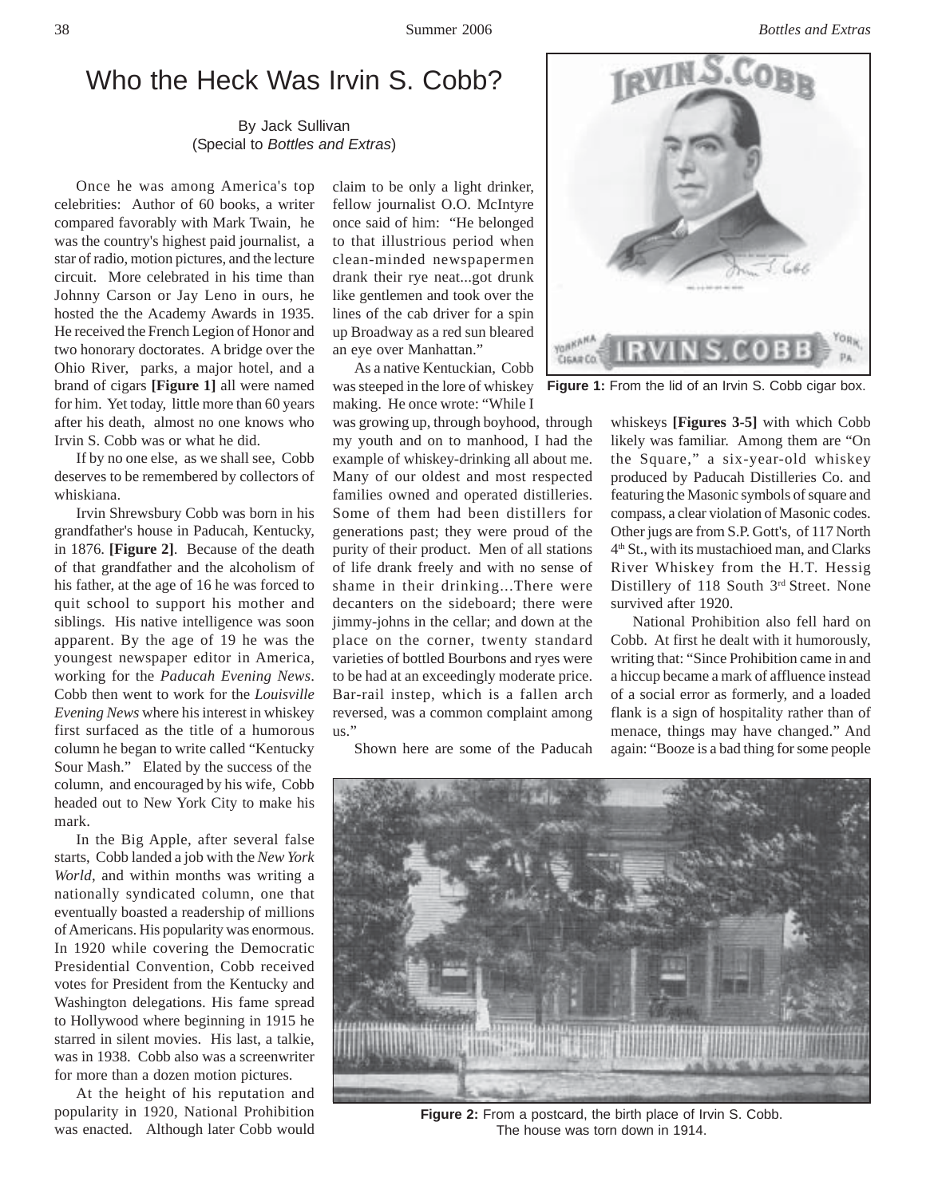# Who the Heck Was Irvin S. Cobb?

By Jack Sullivan (Special to *Bottles and Extras*)

Once he was among America's top celebrities: Author of 60 books, a writer compared favorably with Mark Twain, he was the country's highest paid journalist, a star of radio, motion pictures, and the lecture circuit. More celebrated in his time than Johnny Carson or Jay Leno in ours, he hosted the the Academy Awards in 1935. He received the French Legion of Honor and two honorary doctorates. A bridge over the Ohio River, parks, a major hotel, and a brand of cigars **[Figure 1]** all were named for him. Yet today, little more than 60 years after his death, almost no one knows who Irvin S. Cobb was or what he did.

If by no one else, as we shall see, Cobb deserves to be remembered by collectors of whiskiana.

Irvin Shrewsbury Cobb was born in his grandfather's house in Paducah, Kentucky, in 1876. **[Figure 2]**. Because of the death of that grandfather and the alcoholism of his father, at the age of 16 he was forced to quit school to support his mother and siblings. His native intelligence was soon apparent. By the age of 19 he was the youngest newspaper editor in America, working for the *Paducah Evening News*. Cobb then went to work for the *Louisville Evening News* where his interest in whiskey first surfaced as the title of a humorous column he began to write called "Kentucky Sour Mash." Elated by the success of the column, and encouraged by his wife, Cobb headed out to New York City to make his mark.

In the Big Apple, after several false starts, Cobb landed a job with the *New York World*, and within months was writing a nationally syndicated column, one that eventually boasted a readership of millions of Americans. His popularity was enormous. In 1920 while covering the Democratic Presidential Convention, Cobb received votes for President from the Kentucky and Washington delegations. His fame spread to Hollywood where beginning in 1915 he starred in silent movies. His last, a talkie, was in 1938. Cobb also was a screenwriter for more than a dozen motion pictures.

At the height of his reputation and popularity in 1920, National Prohibition was enacted. Although later Cobb would claim to be only a light drinker, fellow journalist O.O. McIntyre once said of him: "He belonged to that illustrious period when clean-minded newspapermen drank their rye neat...got drunk like gentlemen and took over the lines of the cab driver for a spin up Broadway as a red sun bleared an eye over Manhattan."

As a native Kentuckian, Cobb was steeped in the lore of whiskey making. He once wrote: "While I

was growing up, through boyhood, through my youth and on to manhood, I had the example of whiskey-drinking all about me. Many of our oldest and most respected families owned and operated distilleries. Some of them had been distillers for generations past; they were proud of the purity of their product. Men of all stations of life drank freely and with no sense of shame in their drinking...There were decanters on the sideboard; there were jimmy-johns in the cellar; and down at the place on the corner, twenty standard varieties of bottled Bourbons and ryes were to be had at an exceedingly moderate price. Bar-rail instep, which is a fallen arch reversed, was a common complaint among us."

Shown here are some of the Paducah



**Figure 1:** From the lid of an Irvin S. Cobb cigar box.

whiskeys **[Figures 3-5]** with which Cobb likely was familiar. Among them are "On the Square," a six-year-old whiskey produced by Paducah Distilleries Co. and featuring the Masonic symbols of square and compass, a clear violation of Masonic codes. Other jugs are from S.P. Gott's, of 117 North 4th St., with its mustachioed man, and Clarks River Whiskey from the H.T. Hessig Distillery of 118 South 3<sup>rd</sup> Street. None survived after 1920.

National Prohibition also fell hard on Cobb. At first he dealt with it humorously, writing that: "Since Prohibition came in and a hiccup became a mark of affluence instead of a social error as formerly, and a loaded flank is a sign of hospitality rather than of menace, things may have changed." And again: "Booze is a bad thing for some people



Figure 2: From a postcard, the birth place of Irvin S. Cobb. The house was torn down in 1914.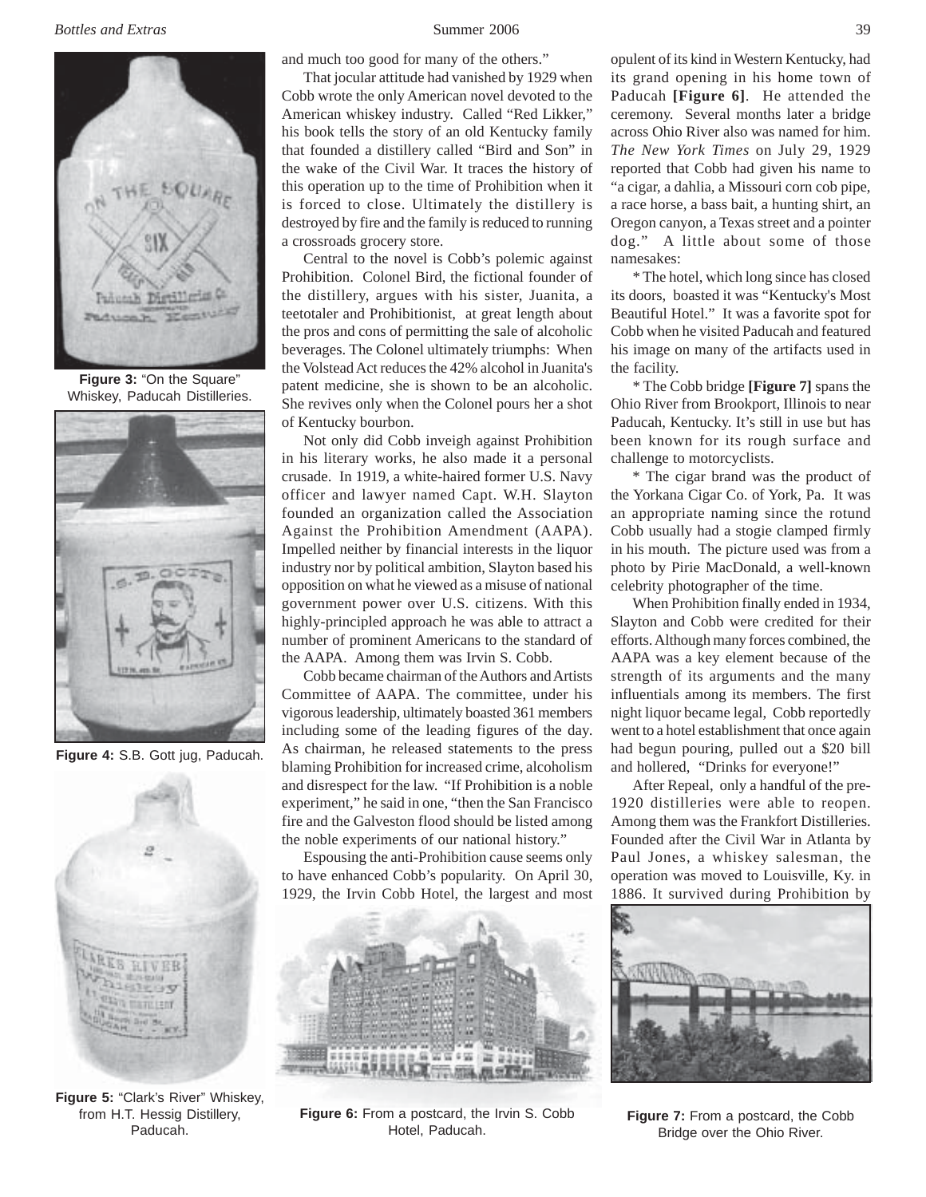

**Figure 3:** "On the Square" Whiskey, Paducah Distilleries.



**Figure 4:** S.B. Gott jug, Paducah.



**Figure 5:** "Clark's River" Whiskey, from H.T. Hessig Distillery, Paducah.

and much too good for many of the others."

That jocular attitude had vanished by 1929 when Cobb wrote the only American novel devoted to the American whiskey industry. Called "Red Likker," his book tells the story of an old Kentucky family that founded a distillery called "Bird and Son" in the wake of the Civil War. It traces the history of this operation up to the time of Prohibition when it is forced to close. Ultimately the distillery is destroyed by fire and the family is reduced to running a crossroads grocery store.

Central to the novel is Cobb's polemic against Prohibition. Colonel Bird, the fictional founder of the distillery, argues with his sister, Juanita, a teetotaler and Prohibitionist, at great length about the pros and cons of permitting the sale of alcoholic beverages. The Colonel ultimately triumphs: When the Volstead Act reduces the 42% alcohol in Juanita's patent medicine, she is shown to be an alcoholic. She revives only when the Colonel pours her a shot of Kentucky bourbon.

Not only did Cobb inveigh against Prohibition in his literary works, he also made it a personal crusade. In 1919, a white-haired former U.S. Navy officer and lawyer named Capt. W.H. Slayton founded an organization called the Association Against the Prohibition Amendment (AAPA). Impelled neither by financial interests in the liquor industry nor by political ambition, Slayton based his opposition on what he viewed as a misuse of national government power over U.S. citizens. With this highly-principled approach he was able to attract a number of prominent Americans to the standard of the AAPA. Among them was Irvin S. Cobb.

Cobb became chairman of the Authors and Artists Committee of AAPA. The committee, under his vigorous leadership, ultimately boasted 361 members including some of the leading figures of the day. As chairman, he released statements to the press blaming Prohibition for increased crime, alcoholism and disrespect for the law. "If Prohibition is a noble experiment," he said in one, "then the San Francisco fire and the Galveston flood should be listed among the noble experiments of our national history."

Espousing the anti-Prohibition cause seems only to have enhanced Cobb's popularity. On April 30, 1929, the Irvin Cobb Hotel, the largest and most



**Figure 6:** From a postcard, the Irvin S. Cobb Hotel, Paducah.

opulent of its kind in Western Kentucky, had its grand opening in his home town of Paducah **[Figure 6]**. He attended the ceremony. Several months later a bridge across Ohio River also was named for him. *The New York Times* on July 29, 1929 reported that Cobb had given his name to "a cigar, a dahlia, a Missouri corn cob pipe, a race horse, a bass bait, a hunting shirt, an Oregon canyon, a Texas street and a pointer dog." A little about some of those namesakes:

\* The hotel, which long since has closed its doors, boasted it was "Kentucky's Most Beautiful Hotel." It was a favorite spot for Cobb when he visited Paducah and featured his image on many of the artifacts used in the facility.

\* The Cobb bridge **[Figure 7]** spans the Ohio River from Brookport, Illinois to near Paducah, Kentucky. It's still in use but has been known for its rough surface and challenge to motorcyclists.

\* The cigar brand was the product of the Yorkana Cigar Co. of York, Pa. It was an appropriate naming since the rotund Cobb usually had a stogie clamped firmly in his mouth. The picture used was from a photo by Pirie MacDonald, a well-known celebrity photographer of the time.

When Prohibition finally ended in 1934, Slayton and Cobb were credited for their efforts. Although many forces combined, the AAPA was a key element because of the strength of its arguments and the many influentials among its members. The first night liquor became legal, Cobb reportedly went to a hotel establishment that once again had begun pouring, pulled out a \$20 bill and hollered, "Drinks for everyone!"

After Repeal, only a handful of the pre-1920 distilleries were able to reopen. Among them was the Frankfort Distilleries. Founded after the Civil War in Atlanta by Paul Jones, a whiskey salesman, the operation was moved to Louisville, Ky. in 1886. It survived during Prohibition by



**Figure 7:** From a postcard, the Cobb Bridge over the Ohio River.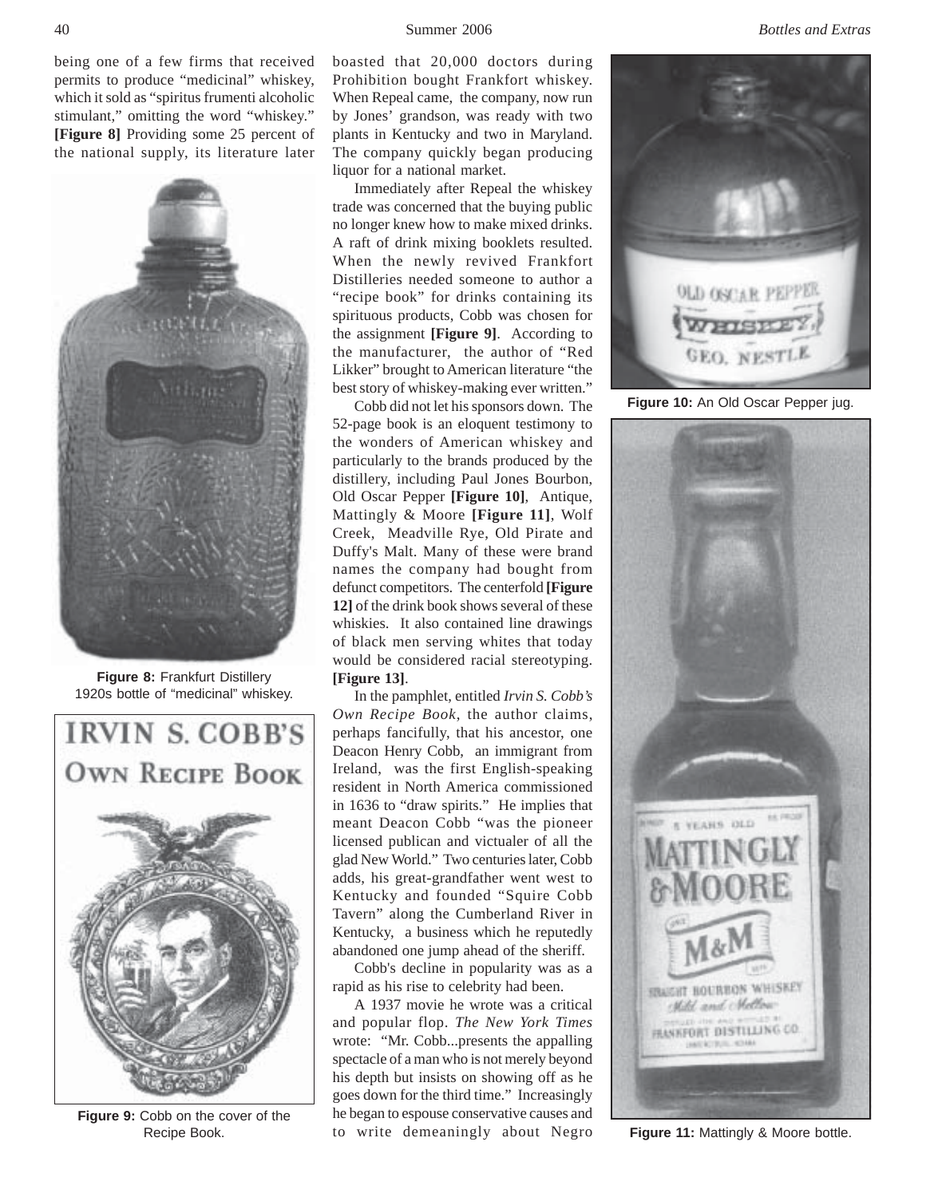being one of a few firms that received permits to produce "medicinal" whiskey, which it sold as "spiritus frumenti alcoholic stimulant," omitting the word "whiskey." **[Figure 8]** Providing some 25 percent of the national supply, its literature later



**Figure 8:** Frankfurt Distillery 1920s bottle of "medicinal" whiskey.



**Figure 9:** Cobb on the cover of the Recipe Book.

boasted that 20,000 doctors during Prohibition bought Frankfort whiskey. When Repeal came, the company, now run by Jones' grandson, was ready with two plants in Kentucky and two in Maryland. The company quickly began producing liquor for a national market.

Immediately after Repeal the whiskey trade was concerned that the buying public no longer knew how to make mixed drinks. A raft of drink mixing booklets resulted. When the newly revived Frankfort Distilleries needed someone to author a "recipe book" for drinks containing its spirituous products, Cobb was chosen for the assignment **[Figure 9]**. According to the manufacturer, the author of "Red Likker" brought to American literature "the best story of whiskey-making ever written."

Cobb did not let his sponsors down. The 52-page book is an eloquent testimony to the wonders of American whiskey and particularly to the brands produced by the distillery, including Paul Jones Bourbon, Old Oscar Pepper **[Figure 10]**, Antique, Mattingly & Moore **[Figure 11]**, Wolf Creek, Meadville Rye, Old Pirate and Duffy's Malt. Many of these were brand names the company had bought from defunct competitors. The centerfold **[Figure 12]** of the drink book shows several of these whiskies. It also contained line drawings of black men serving whites that today would be considered racial stereotyping. **[Figure 13]**.

In the pamphlet, entitled *Irvin S. Cobb's Own Recipe Book*, the author claims, perhaps fancifully, that his ancestor, one Deacon Henry Cobb, an immigrant from Ireland, was the first English-speaking resident in North America commissioned in 1636 to "draw spirits." He implies that meant Deacon Cobb "was the pioneer licensed publican and victualer of all the glad New World." Two centuries later, Cobb adds, his great-grandfather went west to Kentucky and founded "Squire Cobb Tavern" along the Cumberland River in Kentucky, a business which he reputedly abandoned one jump ahead of the sheriff.

Cobb's decline in popularity was as a rapid as his rise to celebrity had been.

A 1937 movie he wrote was a critical and popular flop. *The New York Times* wrote: "Mr. Cobb...presents the appalling spectacle of a man who is not merely beyond his depth but insists on showing off as he goes down for the third time." Increasingly he began to espouse conservative causes and to write demeaningly about Negro



Figure 10: An Old Oscar Pepper jug.



**Figure 11:** Mattingly & Moore bottle.